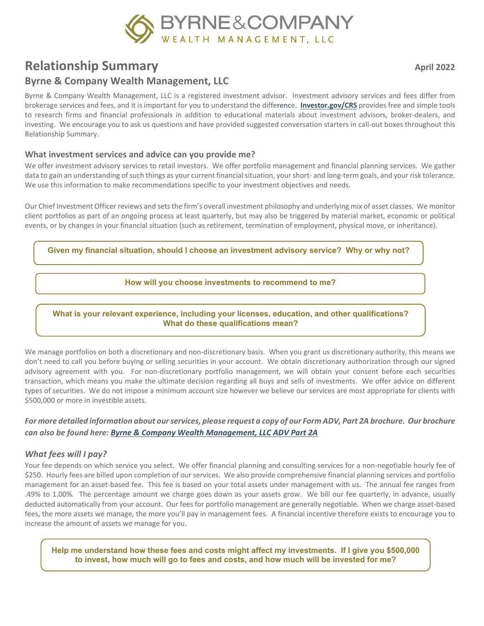

# **Relationship Summary April 2022**

# **Byrne & Company Wealth Management, LLC**

Byrne & Company Wealth Management, LLC is a registered investment advisor. Investment advisory services and fees differ from brokerage services and fees, and it is important for you to understand the difference. **[Investor.gov/CRS](http://www.investor.gov/CRS)** provides free and simple tools to research firms and financial professionals in addition to educational materials about investment advisors, broker-dealers, and investing. We encourage you to ask us questions and have provided suggested conversation starters in call-out boxes throughout this Relationship Summary.

#### **What investment services and advice can you provide me?**

We offer investment advisory services to retail investors. We offer portfolio management and financial planning services. We gather data to gain an understanding of such things as your current financial situation, your short- and long-term goals, and your risk tolerance. We use this information to make recommendations specific to your investment objectives and needs.

Our Chief Investment Officer reviews and setsthe firm's overall investment philosophy and underlying mix of asset classes. We monitor client portfolios as part of an ongoing process at least quarterly, but may also be triggered by material market, economic or political events, or by changes in your financial situation (such as retirement, termination of employment, physical move, or inheritance).

**Given my financial situation, should I choose an investment advisory service? Why or why not?**

#### **How will you choose investments to recommend to me?**

#### **What is your relevant experience, including your licenses, education, and other qualifications? What do these qualifications mean?**

We manage portfolios on both a discretionary and non-discretionary basis. When you grant us discretionary authority, this means we don't need to call you before buying or selling securities in your account. We obtain discretionary authorization through our signed advisory agreement with you. For non-discretionary portfolio management, we will obtain your consent before each securities transaction, which means you make the ultimate decision regarding all buys and sells of investments. We offer advice on different types of securities. We do not impose a minimum account size however we believe our services are most appropriate for clients with \$500,000 or more in investible assets.

### *For more detailed information about ourservices, please request a copy of our Form ADV, Part 2A brochure. Our brochure can also be found here: [Byrne & Company Wealth Management, LLC ADV Part 2A](https://adviserinfo.sec.gov/firm/summary/160581)*

#### *What fees will I pay?*

Your fee depends on which service you select. We offer financial planning and consulting services for a non-negotiable hourly fee of \$250. Hourly fees are billed upon completion of our services. We also provide comprehensive financial planning services and portfolio management for an asset-based fee. This fee is based on your total assets under management with us. The annual fee ranges from .49% to 1.00%. The percentage amount we charge goes down as your assets grow. We bill our fee quarterly, in advance, usually deducted automatically from your account. Our fees for portfolio management are generally negotiable. When we charge asset-based fees, the more assets we manage, the more you'll pay in management fees. A financial incentive therefore exists to encourage you to increase the amount of assets we manage for you.

**Help me understand how these fees and costs might affect my investments. If I give you \$500,000 to invest, how much will go to fees and costs, and how much will be invested for me?**